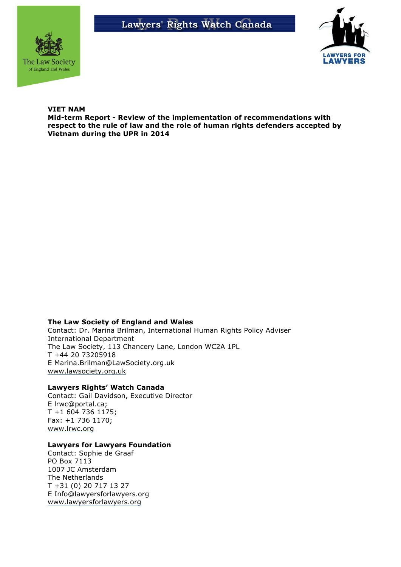



### **VIET NAM**

**Mid-term Report - Review of the implementation of recommendations with respect to the rule of law and the role of human rights defenders accepted by Vietnam during the UPR in 2014**

#### **The Law Society of England and Wales**

Contact: Dr. Marina Brilman, International Human Rights Policy Adviser International Department The Law Society, 113 Chancery Lane, London WC2A 1PL T +44 20 73205918 E Marina.Brilman@LawSociety.org.uk www.lawsociety.org.uk

### **Lawyers Rights' Watch Canada**

Contact: Gail Davidson, Executive Director E lrwc@portal.ca; T +1 604 736 1175; Fax: +1 736 1170; www.lrwc.org

#### **Lawyers for Lawyers Foundation**

Contact: Sophie de Graaf PO Box 7113 1007 JC Amsterdam The Netherlands T +31 (0) 20 717 13 27 E Info@lawyersforlawyers.org www.lawyersforlawyers.org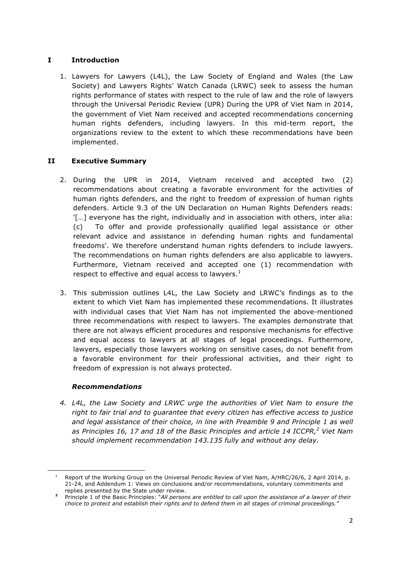# **I Introduction**

1. Lawyers for Lawyers (L4L), the Law Society of England and Wales (the Law Society) and Lawyers Rights' Watch Canada (LRWC) seek to assess the human rights performance of states with respect to the rule of law and the role of lawyers through the Universal Periodic Review (UPR) During the UPR of Viet Nam in 2014, the government of Viet Nam received and accepted recommendations concerning human rights defenders, including lawyers. In this mid-term report, the organizations review to the extent to which these recommendations have been implemented.

# **II Executive Summary**

- 2. During the UPR in 2014, Vietnam received and accepted two (2) recommendations about creating a favorable environment for the activities of human rights defenders, and the right to freedom of expression of human rights defenders. Article 9.3 of the UN Declaration on Human Rights Defenders reads: '[…] everyone has the right, individually and in association with others, inter alia: (c) To offer and provide professionally qualified legal assistance or other relevant advice and assistance in defending human rights and fundamental freedoms'. We therefore understand human rights defenders to include lawyers. The recommendations on human rights defenders are also applicable to lawyers. Furthermore, Vietnam received and accepted one (1) recommendation with respect to effective and equal access to lawyers. $<sup>1</sup>$ </sup>
- 3. This submission outlines L4L, the Law Society and LRWC's findings as to the extent to which Viet Nam has implemented these recommendations. It illustrates with individual cases that Viet Nam has not implemented the above-mentioned three recommendations with respect to lawyers. The examples demonstrate that there are not always efficient procedures and responsive mechanisms for effective and equal access to lawyers at all stages of legal proceedings. Furthermore, lawyers, especially those lawyers working on sensitive cases, do not benefit from a favorable environment for their professional activities, and their right to freedom of expression is not always protected.

## *Recommendations*

1

*4. L4L, the Law Society and LRWC urge the authorities of Viet Nam to ensure the right to fair trial and to guarantee that every citizen has effective access to justice and legal assistance of their choice, in line with Preamble 9 and Principle 1 as well as Principles 16, 17 and 18 of the Basic Principles and article 14 ICCPR,<sup>2</sup> Viet Nam should implement recommendation 143.135 fully and without any delay.*

<sup>1</sup> Report of the Working Group on the Universal Periodic Review of Viet Nam, A/HRC/26/6, 2 April 2014, p. 21-24, and Addendum 1: Views on conclusions and/or recommendations, voluntary commitments and replies presented by the State under review.

**<sup>2</sup>** Principle 1 of the Basic Principles: "*All persons are entitled to call upon the assistance of a lawyer of their choice to protect and establish their rights and to defend them in all stages of criminal proceedings."*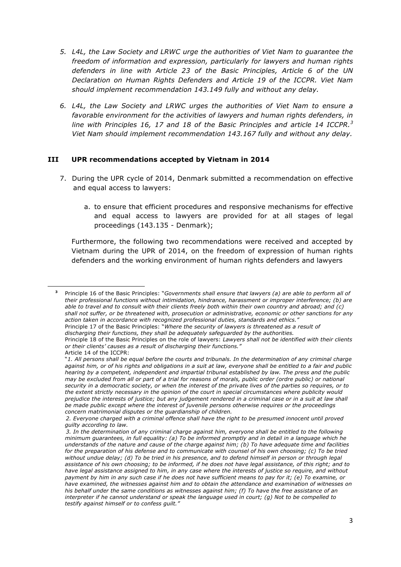- *5. L4L, the Law Society and LRWC urge the authorities of Viet Nam to guarantee the freedom of information and expression, particularly for lawyers and human rights defenders in line with Article 23 of the Basic Principles, Article 6 of the UN Declaration on Human Rights Defenders and Article 19 of the ICCPR. Viet Nam should implement recommendation 143.149 fully and without any delay.*
- *6. L4L, the Law Society and LRWC urges the authorities of Viet Nam to ensure a favorable environment for the activities of lawyers and human rights defenders, in line with Principles 16, 17 and 18 of the Basic Principles and article 14 ICCPR.<sup>3</sup> Viet Nam should implement recommendation 143.167 fully and without any delay.*

## **III UPR recommendations accepted by Vietnam in 2014**

- 7. During the UPR cycle of 2014, Denmark submitted a recommendation on effective and equal access to lawyers:
	- a. to ensure that efficient procedures and responsive mechanisms for effective and equal access to lawyers are provided for at all stages of legal proceedings (143.135 - Denmark);

Furthermore, the following two recommendations were received and accepted by Vietnam during the UPR of 2014, on the freedom of expression of human rights defenders and the working environment of human rights defenders and lawyers

<sup>1</sup> **<sup>3</sup>** Principle 16 of the Basic Principles: "*Governments shall ensure that lawyers (a) are able to perform all of their professional functions without intimidation, hindrance, harassment or improper interference; (b) are able to travel and to consult with their clients freely both within their own country and abroad; and (c) shall not suffer, or be threatened with, prosecution or administrative, economic or other sanctions for any action taken in accordance with recognized professional duties, standards and ethics."* Principle 17 of the Basic Principles: "*Where the security of lawyers is threatened as a result of discharging their functions, they shall be adequately safeguarded by the authorities.* Principle 18 of the Basic Principles on the role of lawyers: *Lawyers shall not be identified with their clients or their clients' causes as a result of discharging their functions."* Article 14 of the ICCPR: "*1. All persons shall be equal before the courts and tribunals. In the determination of any criminal charge against him, or of his rights and obligations in a suit at law, everyone shall be entitled to a fair and public hearing by a competent, independent and impartial tribunal established by law. The press and the public may be excluded from all or part of a trial for reasons of morals, public order (ordre public) or national security in a democratic society, or when the interest of the private lives of the parties so requires, or to the extent strictly necessary in the opinion of the court in special circumstances where publicity would* 

*prejudice the interests of justice; but any judgement rendered in a criminal case or in a suit at law shall be made public except where the interest of juvenile persons otherwise requires or the proceedings concern matrimonial disputes or the guardianship of children.*

*<sup>2.</sup> Everyone charged with a criminal offence shall have the right to be presumed innocent until proved guilty according to law.*

*<sup>3.</sup> In the determination of any criminal charge against him, everyone shall be entitled to the following minimum guarantees, in full equality: (a) To be informed promptly and in detail in a language which he understands of the nature and cause of the charge against him; (b) To have adequate time and facilities for the preparation of his defense and to communicate with counsel of his own choosing; (c) To be tried without undue delay; (d) To be tried in his presence, and to defend himself in person or through legal assistance of his own choosing; to be informed, if he does not have legal assistance, of this right; and to have legal assistance assigned to him, in any case where the interests of justice so require, and without payment by him in any such case if he does not have sufficient means to pay for it; (e) To examine, or have examined, the witnesses against him and to obtain the attendance and examination of witnesses on his behalf under the same conditions as witnesses against him; (f) To have the free assistance of an interpreter if he cannot understand or speak the language used in court; (g) Not to be compelled to testify against himself or to confess guilt."*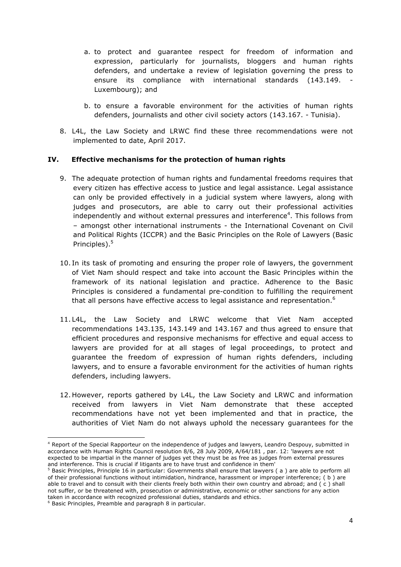- a. to protect and guarantee respect for freedom of information and expression, particularly for journalists, bloggers and human rights defenders, and undertake a review of legislation governing the press to ensure its compliance with international standards (143.149. - Luxembourg); and
- b. to ensure a favorable environment for the activities of human rights defenders, journalists and other civil society actors (143.167. - Tunisia).
- 8. L4L, the Law Society and LRWC find these three recommendations were not implemented to date, April 2017.

## **IV. Effective mechanisms for the protection of human rights**

- 9. The adequate protection of human rights and fundamental freedoms requires that every citizen has effective access to justice and legal assistance. Legal assistance can only be provided effectively in a judicial system where lawyers, along with judges and prosecutors, are able to carry out their professional activities independently and without external pressures and interference<sup>4</sup>. This follows from – amongst other international instruments - the International Covenant on Civil and Political Rights (ICCPR) and the Basic Principles on the Role of Lawyers (Basic Principles).<sup>5</sup>
- 10. In its task of promoting and ensuring the proper role of lawyers, the government of Viet Nam should respect and take into account the Basic Principles within the framework of its national legislation and practice. Adherence to the Basic Principles is considered a fundamental pre-condition to fulfilling the requirement that all persons have effective access to legal assistance and representation.<sup>6</sup>
- 11. L4L, the Law Society and LRWC welcome that Viet Nam accepted recommendations 143.135, 143.149 and 143.167 and thus agreed to ensure that efficient procedures and responsive mechanisms for effective and equal access to lawyers are provided for at all stages of legal proceedings, to protect and guarantee the freedom of expression of human rights defenders, including lawyers, and to ensure a favorable environment for the activities of human rights defenders, including lawyers.
- 12. However, reports gathered by L4L, the Law Society and LRWC and information received from lawyers in Viet Nam demonstrate that these accepted recommendations have not yet been implemented and that in practice, the authorities of Viet Nam do not always uphold the necessary guarantees for the

<sup>&</sup>lt;u>.</u> 4 Report of the Special Rapporteur on the independence of judges and lawyers, Leandro Despouy, submitted in accordance with Human Rights Council resolution 8/6, 28 July 2009, A/64/181 , par. 12: 'lawyers are not expected to be impartial in the manner of judges yet they must be as free as judges from external pressures and interference. This is crucial if litigants are to have trust and confidence in them'

<sup>&</sup>lt;sup>5</sup> Basic Principles, Principle 16 in particular: Governments shall ensure that lawyers (a) are able to perform all of their professional functions without intimidation, hindrance, harassment or improper interference; ( b ) are able to travel and to consult with their clients freely both within their own country and abroad; and ( c ) shall not suffer, or be threatened with, prosecution or administrative, economic or other sanctions for any action taken in accordance with recognized professional duties, standards and ethics.

<sup>6</sup> Basic Principles, Preamble and paragraph 8 in particular.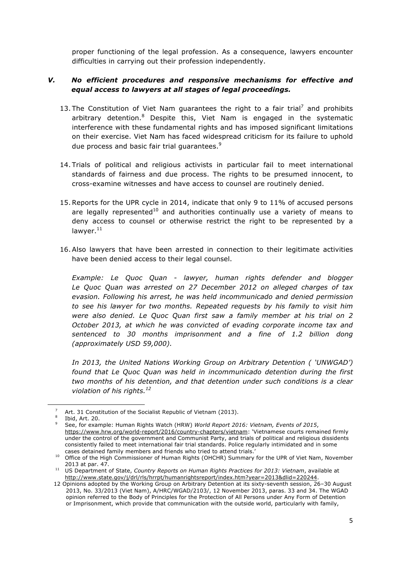proper functioning of the legal profession. As a consequence, lawyers encounter difficulties in carrying out their profession independently.

## *V. No efficient procedures and responsive mechanisms for effective and equal access to lawyers at all stages of legal proceedings.*

- 13. The Constitution of Viet Nam guarantees the right to a fair trial<sup>7</sup> and prohibits arbitrary detention.<sup>8</sup> Despite this, Viet Nam is engaged in the systematic interference with these fundamental rights and has imposed significant limitations on their exercise. Viet Nam has faced widespread criticism for its failure to uphold due process and basic fair trial guarantees.<sup>9</sup>
- 14. Trials of political and religious activists in particular fail to meet international standards of fairness and due process. The rights to be presumed innocent, to cross-examine witnesses and have access to counsel are routinely denied.
- 15.Reports for the UPR cycle in 2014, indicate that only 9 to 11% of accused persons are legally represented<sup>10</sup> and authorities continually use a variety of means to deny access to counsel or otherwise restrict the right to be represented by a lawyer. $11$
- 16. Also lawyers that have been arrested in connection to their legitimate activities have been denied access to their legal counsel.

*Example: Le Quoc Quan - lawyer, human rights defender and blogger Le Quoc Quan was arrested on 27 December 2012 on alleged charges of tax evasion. Following his arrest, he was held incommunicado and denied permission to see his lawyer for two months. Repeated requests by his family to visit him were also denied. Le Quoc Quan first saw a family member at his trial on 2 October 2013, at which he was convicted of evading corporate income tax and sentenced to 30 months imprisonment and a fine of 1.2 billion dong (approximately USD 59,000).* 

*In 2013, the United Nations Working Group on Arbitrary Detention ( 'UNWGAD') found that Le Quoc Quan was held in incommunicado detention during the first two months of his detention, and that detention under such conditions is a clear violation of his rights.12*

<sup>&</sup>lt;sup>7</sup> Art. 31 Constitution of the Socialist Republic of Vietnam (2013).

<sup>8</sup> Ibid, Art. 20.

<sup>9</sup> See, for example: Human Rights Watch (HRW) *World Report 2016: Vietnam, Events of 2015*, https://www.hrw.org/world-report/2016/country-chapters/vietnam: 'Vietnamese courts remained firmly under the control of the government and Communist Party, and trials of political and religious dissidents consistently failed to meet international fair trial standards. Police regularly intimidated and in some cases detained family members and friends who tried to attend trials.'

<sup>10</sup> Office of the High Commissioner of Human Rights (OHCHR) Summary for the UPR of Viet Nam, November 2013 at par. 47.

<sup>11</sup> US Department of State, *Country Reports on Human Rights Practices for 2013: Vietnam*, available at http://www.state.gov/j/drl/rls/hrrpt/humanrightsreport/index.htm?year=2013&dlid=220244.

<sup>12</sup> Opinions adopted by the Working Group on Arbitrary Detention at its sixty-seventh session, 26–30 August 2013, No. 33/2013 (Viet Nam), A/HRC/WGAD/2103/, 12 November 2013, paras. 33 and 34. The WGAD opinion referred to the Body of Principles for the Protection of All Persons under Any Form of Detention or Imprisonment, which provide that communication with the outside world, particularly with family,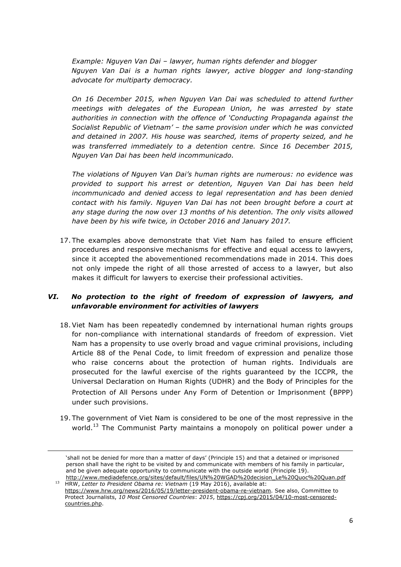*Example: Nguyen Van Dai – lawyer, human rights defender and blogger Nguyen Van Dai is a human rights lawyer, active blogger and long-standing advocate for multiparty democracy.* 

*On 16 December 2015, when Nguyen Van Dai was scheduled to attend further meetings with delegates of the European Union, he was arrested by state authorities in connection with the offence of 'Conducting Propaganda against the Socialist Republic of Vietnam' – the same provision under which he was convicted and detained in 2007. His house was searched, items of property seized, and he was transferred immediately to a detention centre. Since 16 December 2015, Nguyen Van Dai has been held incommunicado.* 

*The violations of Nguyen Van Dai's human rights are numerous: no evidence was provided to support his arrest or detention, Nguyen Van Dai has been held incommunicado and denied access to legal representation and has been denied contact with his family. Nguyen Van Dai has not been brought before a court at any stage during the now over 13 months of his detention. The only visits allowed have been by his wife twice, in October 2016 and January 2017.*

17. The examples above demonstrate that Viet Nam has failed to ensure efficient procedures and responsive mechanisms for effective and equal access to lawyers, since it accepted the abovementioned recommendations made in 2014. This does not only impede the right of all those arrested of access to a lawyer, but also makes it difficult for lawyers to exercise their professional activities.

# *VI. No protection to the right of freedom of expression of lawyers, and unfavorable environment for activities of lawyers*

- 18. Viet Nam has been repeatedly condemned by international human rights groups for non-compliance with international standards of freedom of expression. Viet Nam has a propensity to use overly broad and vague criminal provisions, including Article 88 of the Penal Code, to limit freedom of expression and penalize those who raise concerns about the protection of human rights. Individuals are prosecuted for the lawful exercise of the rights guaranteed by the ICCPR, the Universal Declaration on Human Rights (UDHR) and the Body of Principles for the Protection of All Persons under Any Form of Detention or Imprisonment (BPPP) under such provisions.
- 19. The government of Viet Nam is considered to be one of the most repressive in the world.<sup>13</sup> The Communist Party maintains a monopoly on political power under a

<u>.</u>

<sup>&#</sup>x27;shall not be denied for more than a matter of days' (Principle 15) and that a detained or imprisoned person shall have the right to be visited by and communicate with members of his family in particular, and be given adequate opportunity to communicate with the outside world (Principle 19). http://www.mediadefence.org/sites/default/files/UN%20WGAD%20decision\_Le%20Quoc%20Quan.pdf

<sup>13</sup> HRW, *Letter to President Obama re: Vietnam* (19 May 2016), available at: https://www.hrw.org/news/2016/05/19/letter-president-obama-re-vietnam. See also, Committee to Protect Journalists, *10 Most Censored Countries*: *2015*, https://cpj.org/2015/04/10-most-censoredcountries.php.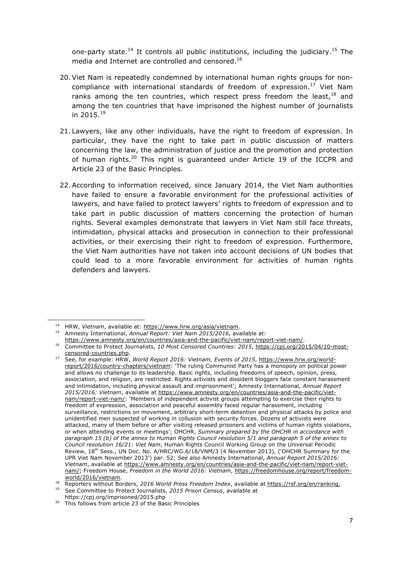one-party state.<sup>14</sup> It controls all public institutions, including the judiciary.<sup>15</sup> The media and Internet are controlled and censored.<sup>16</sup>

- 20. Viet Nam is repeatedly condemned by international human rights groups for noncompliance with international standards of freedom of expression. $17$  Viet Nam ranks among the ten countries, which respect press freedom the least, $18$  and among the ten countries that have imprisoned the highest number of journalists in  $2015.<sup>19</sup>$
- 21. Lawyers, like any other individuals, have the right to freedom of expression. In particular, they have the right to take part in public discussion of matters concerning the law, the administration of justice and the promotion and protection of human rights. $20$  This right is guaranteed under Article 19 of the ICCPR and Article 23 of the Basic Principles.
- 22. According to information received, since January 2014, the Viet Nam authorities have failed to ensure a favorable environment for the professional activities of lawyers, and have failed to protect lawyers' rights to freedom of expression and to take part in public discussion of matters concerning the protection of human rights. Several examples demonstrate that lawyers in Viet Nam still face threats, intimidation, physical attacks and prosecution in connection to their professional activities, or their exercising their right to freedom of expression. Furthermore, the Viet Nam authorities have not taken into account decisions of UN bodies that could lead to a more favorable environment for activities of human rights defenders and lawyers.

<sup>14</sup> HRW, *Vietnam*, available at: https://www.hrw.org/asia/vietnam.

<sup>15</sup> Amnesty International, *Annual Report: Viet Nam 2015/2016*, available at: https://www.amnesty.org/en/countries/asia-and-the-pacific/viet-nam/report-viet-nam/.

<sup>16</sup> Committee to Protect Journalists, *10 Most Censored Countries*: *2015*, https://cpj.org/2015/04/10-most-

censored-countries.php. 17 See, for example: HRW, *World Report 2016: Vietnam, Events of 2015*, https://www.hrw.org/worldreport/2016/country-chapters/vietnam: 'The ruling Communist Party has a monopoly on political power and allows no challenge to its leadership. Basic rights, including freedoms of speech, opinion, press, association, and religion, are restricted. Rights activists and dissident bloggers face constant harassment and intimidation, including physical assault and imprisonment'; Amnesty International, *Annual Report 2015/2016: Vietnam*, available at https://www.amnesty.org/en/countries/asia-and-the-pacific/vietnam/report-viet-nam/: 'Members of independent activist groups attempting to exercise their rights to freedom of expression, association and peaceful assembly faced regular harassment, including surveillance, restrictions on movement, arbitrary short-term detention and physical attacks by police and unidentified men suspected of working in collusion with security forces. Dozens of activists were attacked, many of them before or after visiting released prisoners and victims of human rights violations, or when attending events or meetings'; OHCHR, *Summary prepared by the OHCHR in accordance with paragraph 15 (b) of the annex to Human Rights Council resolution 5/1 and paragraph 5 of the annex to Council resolution 16/21: Viet Nam*, Human Rights Council Working Group on the Universal Periodic Review, 18<sup>th</sup> Sess., UN Doc. No. A/HRC/WG.6/18/VNM/3 (4 November 2013), ('OHCHR Summary for the UPR Viet Nam November 2013') par. 52; *See also* Amnesty International, *Annual Report 2015/2016: Vietnam*, available at https://www.amnesty.org/en/countries/asia-and-the-pacific/viet-nam/report-vietnam/; Freedom House, *Freedom in the World 2016: Vietnam*, https://freedomhouse.org/report/freedomworld/2016/vietnam. 18 Reporters without Borders, *<sup>2016</sup> World Press Freedom Index*, available at https://rsf.org/en/ranking.

<sup>19</sup> See Committee to Protect Journalists, *2015 Prison Census*, available at

https://cpj.org/imprisoned/2015.php <sup>20</sup> This follows from article 23 of the Basic Principles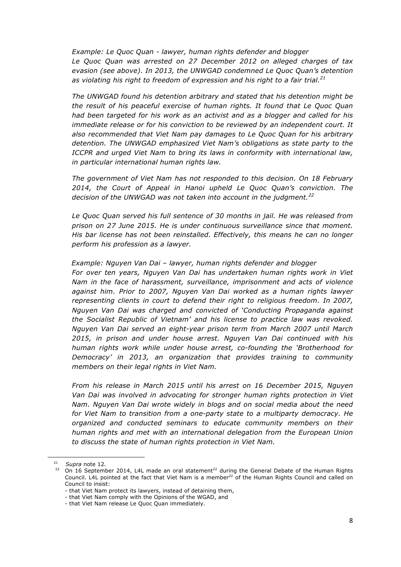*Example: Le Quoc Quan - lawyer, human rights defender and blogger Le Quoc Quan was arrested on 27 December 2012 on alleged charges of tax evasion (see above). In 2013, the UNWGAD condemned Le Quoc Quan's detention as violating his right to freedom of expression and his right to a fair trial.<sup>21</sup>*

*The UNWGAD found his detention arbitrary and stated that his detention might be the result of his peaceful exercise of human rights. It found that Le Quoc Quan had been targeted for his work as an activist and as a blogger and called for his immediate release or for his conviction to be reviewed by an independent court. It also recommended that Viet Nam pay damages to Le Quoc Quan for his arbitrary detention. The UNWGAD emphasized Viet Nam's obligations as state party to the ICCPR and urged Viet Nam to bring its laws in conformity with international law, in particular international human rights law.*

*The government of Viet Nam has not responded to this decision. On 18 February 2014, the Court of Appeal in Hanoi upheld Le Quoc Quan's conviction. The decision of the UNWGAD was not taken into account in the judgment.<sup>22</sup>*

*Le Quoc Quan served his full sentence of 30 months in jail. He was released from prison on 27 June 2015. He is under continuous surveillance since that moment. His bar license has not been reinstalled. Effectively, this means he can no longer perform his profession as a lawyer.*

*Example: Nguyen Van Dai – lawyer, human rights defender and blogger*

*For over ten years, Nguyen Van Dai has undertaken human rights work in Viet Nam in the face of harassment, surveillance, imprisonment and acts of violence against him. Prior to 2007, Nguyen Van Dai worked as a human rights lawyer representing clients in court to defend their right to religious freedom. In 2007, Nguyen Van Dai was charged and convicted of 'Conducting Propaganda against the Socialist Republic of Vietnam' and his license to practice law was revoked. Nguyen Van Dai served an eight-year prison term from March 2007 until March 2015, in prison and under house arrest. Nguyen Van Dai continued with his human rights work while under house arrest, co-founding the 'Brotherhood for Democracy' in 2013, an organization that provides training to community members on their legal rights in Viet Nam.*

*From his release in March 2015 until his arrest on 16 December 2015, Nguyen Van Dai was involved in advocating for stronger human rights protection in Viet Nam. Nguyen Van Dai wrote widely in blogs and on social media about the need for Viet Nam to transition from a one-party state to a multiparty democracy. He organized and conducted seminars to educate community members on their human rights and met with an international delegation from the European Union to discuss the state of human rights protection in Viet Nam.* 

<sup>21</sup> *Supra* note 12*.*

 $22$  On 16 September 2014, L4L made an oral statement<sup>22</sup> during the General Debate of the Human Rights Council. L4L pointed at the fact that Viet Nam is a member<sup>22</sup> of the Human Rights Council and called on Council to insist:

<sup>-</sup> that Viet Nam protect its lawyers, instead of detaining them,

<sup>-</sup> that Viet Nam comply with the Opinions of the WGAD, and

<sup>-</sup> that Viet Nam release Le Quoc Quan immediately.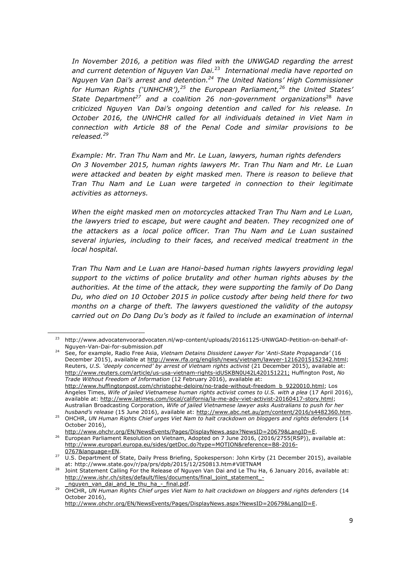*In November 2016, a petition was filed with the UNWGAD regarding the arrest and current detention of Nguyen Van Dai.*23 *International media have reported on Nguyen Van Dai's arrest and detention.24 The United Nations' High Commissioner*  for Human Rights ('UNHCHR'),<sup>25</sup> the European Parliament,<sup>26</sup> the United States' *State Department27 and a coalition 26 non-government organizations*<sup>28</sup> *have criticized Nguyen Van Dai's ongoing detention and called for his release. In October 2016, the UNHCHR called for all individuals detained in Viet Nam in connection with Article 88 of the Penal Code and similar provisions to be released.<sup>29</sup>*

*Example: Mr. Tran Thu Nam* and *Mr. Le Luan, lawyers, human rights defenders On 3 November 2015, human rights lawyers Mr. Tran Thu Nam and Mr. Le Luan were attacked and beaten by eight masked men. There is reason to believe that Tran Thu Nam and Le Luan were targeted in connection to their legitimate activities as attorneys.*

*When the eight masked men on motorcycles attacked Tran Thu Nam and Le Luan, the lawyers tried to escape, but were caught and beaten. They recognized one of the attackers as a local police officer. Tran Thu Nam and Le Luan sustained several injuries, including to their faces, and received medical treatment in the local hospital.*

*Tran Thu Nam and Le Luan are Hanoi-based human rights lawyers providing legal support to the victims of police brutality and other human rights abuses by the authorities. At the time of the attack, they were supporting the family of Do Dang Du, who died on 10 October 2015 in police custody after being held there for two months on a charge of theft. The lawyers questioned the validity of the autopsy carried out on Do Dang Du's body as it failed to include an examination of internal* 

<sup>23</sup> http://www.advocatenvooradvocaten.nl/wp-content/uploads/20161125-UNWGAD-Petition-on-behalf-of-Nguyen-Van-Dai-for-submission.pdf<br>See, for example, Radio Free Asia, *Vietnam Detains Dissident Lawyer For 'Anti-State Propaganda'* (16

December 2015), available at http://www.rfa.org/english/news/vietnam/lawyer-12162015152342.html; Reuters, *U.S. 'deeply concerned' by arrest of Vietnam rights activist* (21 December 2015), available at: http://www.reuters.com/article/us-usa-vietnam-rights-idUSKBN0U42L420151221; Huffington Post, *No Trade Without Freedom of Information* (12 February 2016), available at: http://www.huffingtonpost.com/christophe-deloire/no-trade-without-freedom\_b\_9220010.html; Los Angeles Times, *Wife of jailed Vietnamese human rights activist comes to U.S. with a plea* (17 April 2016), available at: http://www.latimes.com/local/california/la-me-adv-viet-activist-20160417-story.html; Australian Broadcasting Corporation, *Wife of jailed Vietnamese lawyer asks Australians to push for her* 

*husband's release* (15 June 2016), available at: http://www.abc.net.au/pm/content/2016/s4482360.htm. <sup>25</sup> OHCHR, *UN Human Rights Chief urges Viet Nam to halt crackdown on bloggers and rights defenders* (14 October 2016),

http://www.ohchr.org/EN/NewsEvents/Pages/DisplayNews.aspx?NewsID=20679&LangID=E. <sup>26</sup> European Parliament Resolution on Vietnam, Adopted on 7 June 2016, (2016/2755(RSP)), available at: http://www.europarl.europa.eu/sides/getDoc.do?type=MOTION&reference=B8-2016-

<sup>0767&</sup>amp;language=EN. 27 U.S. Department of State, Daily Press Briefing, Spokesperson: John Kirby (21 December 2015), available at: http://www.state.gov/r/pa/prs/dpb/2015/12/250813.htm#VIETNAM

<sup>28</sup> Joint Statement Calling For the Release of Nguyen Van Dai and Le Thu Ha, 6 January 2016, available at: http://www.ishr.ch/sites/default/files/documents/final\_joint\_statement\_-

nguyen\_van\_dai\_and\_le\_thu\_ha\_-\_final.pdf. 29 OHCHR, *UN Human Rights Chief urges Viet Nam to halt crackdown on bloggers and rights defenders* (14 oHCHR, *UN Human Rights Chief urges Viet Nam to halt crackdown on bloggers a* October 2016),

http://www.ohchr.org/EN/NewsEvents/Pages/DisplayNews.aspx?NewsID=20679&LangID=E.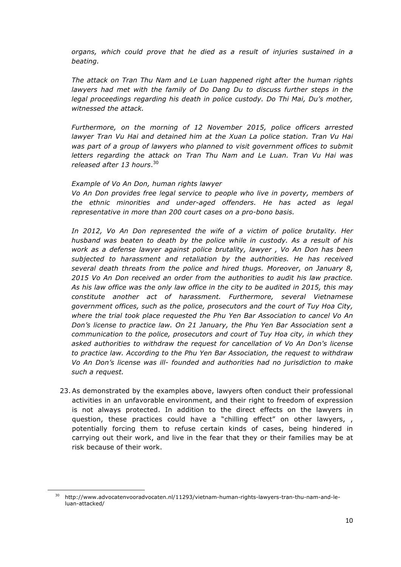*organs, which could prove that he died as a result of injuries sustained in a beating.*

*The attack on Tran Thu Nam and Le Luan happened right after the human rights lawyers had met with the family of Do Dang Du to discuss further steps in the legal proceedings regarding his death in police custody. Do Thi Mai, Du's mother, witnessed the attack.*

*Furthermore, on the morning of 12 November 2015, police officers arrested lawyer Tran Vu Hai and detained him at the Xuan La police station. Tran Vu Hai*  was part of a group of lawyers who planned to visit government offices to submit *letters regarding the attack on Tran Thu Nam and Le Luan. Tran Vu Hai was released after 13 hours*. 30

#### *Example of Vo An Don, human rights lawyer*

*Vo An Don provides free legal service to people who live in poverty, members of the ethnic minorities and under-aged offenders. He has acted as legal representative in more than 200 court cases on a pro-bono basis.*

*In 2012, Vo An Don represented the wife of a victim of police brutality. Her husband was beaten to death by the police while in custody. As a result of his work as a defense lawyer against police brutality, lawyer , Vo An Don has been subjected to harassment and retaliation by the authorities. He has received several death threats from the police and hired thugs. Moreover, on January 8, 2015 Vo An Don received an order from the authorities to audit his law practice. As his law office was the only law office in the city to be audited in 2015, this may constitute another act of harassment. Furthermore, several Vietnamese government offices, such as the police, prosecutors and the court of Tuy Hoa City, where the trial took place requested the Phu Yen Bar Association to cancel Vo An Don's license to practice law. On 21 January, the Phu Yen Bar Association sent a communication to the police, prosecutors and court of Tuy Hoa city, in which they asked authorities to withdraw the request for cancellation of Vo An Don's license to practice law. According to the Phu Yen Bar Association, the request to withdraw Vo An Don's license was ill- founded and authorities had no jurisdiction to make such a request.*

23. As demonstrated by the examples above, lawyers often conduct their professional activities in an unfavorable environment, and their right to freedom of expression is not always protected. In addition to the direct effects on the lawyers in question, these practices could have a "chilling effect" on other lawyers, , potentially forcing them to refuse certain kinds of cases, being hindered in carrying out their work, and live in the fear that they or their families may be at risk because of their work.

<sup>&</sup>lt;sup>30</sup> http://www.advocatenvooradvocaten.nl/11293/vietnam-human-rights-lawyers-tran-thu-nam-and-leluan-attacked/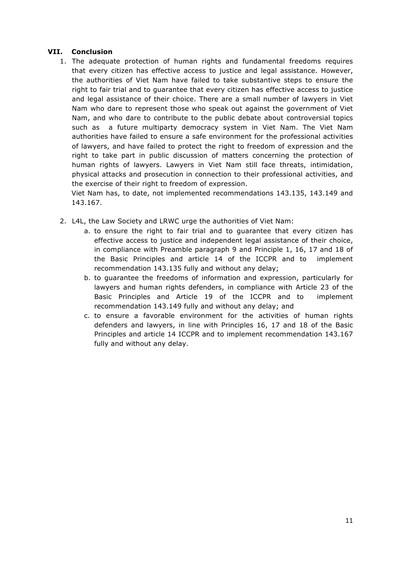# **VII. Conclusion**

1. The adequate protection of human rights and fundamental freedoms requires that every citizen has effective access to justice and legal assistance. However, the authorities of Viet Nam have failed to take substantive steps to ensure the right to fair trial and to guarantee that every citizen has effective access to justice and legal assistance of their choice. There are a small number of lawyers in Viet Nam who dare to represent those who speak out against the government of Viet Nam, and who dare to contribute to the public debate about controversial topics such as a future multiparty democracy system in Viet Nam. The Viet Nam authorities have failed to ensure a safe environment for the professional activities of lawyers, and have failed to protect the right to freedom of expression and the right to take part in public discussion of matters concerning the protection of human rights of lawyers. Lawyers in Viet Nam still face threats, intimidation, physical attacks and prosecution in connection to their professional activities, and the exercise of their right to freedom of expression.

Viet Nam has, to date, not implemented recommendations 143.135, 143.149 and 143.167.

- 2. L4L, the Law Society and LRWC urge the authorities of Viet Nam:
	- a. to ensure the right to fair trial and to guarantee that every citizen has effective access to justice and independent legal assistance of their choice, in compliance with Preamble paragraph 9 and Principle 1, 16, 17 and 18 of the Basic Principles and article 14 of the ICCPR and to implement recommendation 143.135 fully and without any delay;
	- b. to guarantee the freedoms of information and expression, particularly for lawyers and human rights defenders, in compliance with Article 23 of the Basic Principles and Article 19 of the ICCPR and to implement recommendation 143.149 fully and without any delay; and
	- c. to ensure a favorable environment for the activities of human rights defenders and lawyers, in line with Principles 16, 17 and 18 of the Basic Principles and article 14 ICCPR and to implement recommendation 143.167 fully and without any delay.